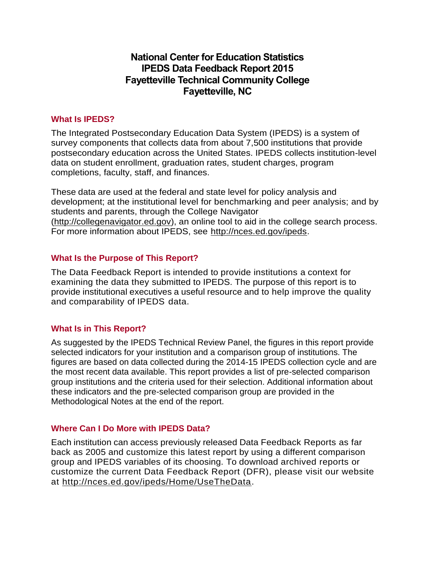# **National Center for Education Statistics IPEDS Data Feedback Report 2015 Fayetteville Technical Community College Fayetteville, NC**

### **What Is IPEDS?**

The Integrated Postsecondary Education Data System (IPEDS) is a system of survey components that collects data from about 7,500 institutions that provide postsecondary education across the United States. IPEDS collects institution-level data on student enrollment, graduation rates, student charges, program completions, faculty, staff, and finances.

These data are used at the federal and state level for policy analysis and development; at the institutional level for benchmarking and peer analysis; and by students and parents, through the College Navigator [\(http://collegenavigator.ed.gov\)](http://collegenavigator.ed.gov/), an online tool to aid in the college search process. For more information about IPEDS, see [http://nces.ed.gov/ipeds.](http://nces.ed.gov/ipeds)

# **What Is the Purpose of This Report?**

The Data Feedback Report is intended to provide institutions a context for examining the data they submitted to IPEDS. The purpose of this report is to provide institutional executives a useful resource and to help improve the quality and comparability of IPEDS data.

# **What Is in This Report?**

As suggested by the IPEDS Technical Review Panel, the figures in this report provide selected indicators for your institution and a comparison group of institutions. The figures are based on data collected during the 2014-15 IPEDS collection cycle and are the most recent data available. This report provides a list of pre-selected comparison group institutions and the criteria used for their selection. Additional information about these indicators and the pre-selected comparison group are provided in the Methodological Notes at the end of the report.

### **Where Can I Do More with IPEDS Data?**

Each institution can access previously released Data Feedback Reports as far back as 2005 and customize this latest report by using a different comparison group and IPEDS variables of its choosing. To download archived reports or customize the current Data Feedback Report (DFR), please visit our website at [http://nces.ed.gov/ipeds/Home/UseTheData.](http://nces.ed.gov/ipeds/Home/UseTheData)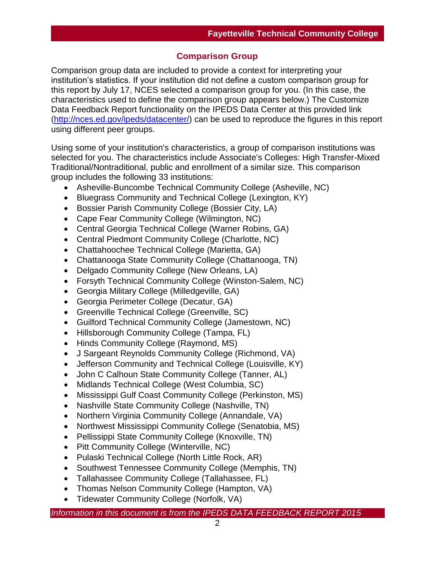# **Comparison Group**

Comparison group data are included to provide a context for interpreting your institution's statistics. If your institution did not define a custom comparison group for this report by July 17, NCES selected a comparison group for you. (In this case, the characteristics used to define the comparison group appears below.) The Customize Data Feedback Report functionality on the IPEDS Data Center at this provided link [\(http://nces.ed.gov/ipeds/datacenter/\)](http://nces.ed.gov/ipeds/datacenter/) can be used to reproduce the figures in this report using different peer groups.

Using some of your institution's characteristics, a group of comparison institutions was selected for you. The characteristics include Associate's Colleges: High Transfer-Mixed Traditional/Nontraditional, public and enrollment of a similar size. This comparison group includes the following 33 institutions:

- Asheville-Buncombe Technical Community College (Asheville, NC)
- Bluegrass Community and Technical College (Lexington, KY)
- Bossier Parish Community College (Bossier City, LA)
- Cape Fear Community College (Wilmington, NC)
- Central Georgia Technical College (Warner Robins, GA)
- Central Piedmont Community College (Charlotte, NC)
- Chattahoochee Technical College (Marietta, GA)
- Chattanooga State Community College (Chattanooga, TN)
- Delgado Community College (New Orleans, LA)
- Forsyth Technical Community College (Winston-Salem, NC)
- Georgia Military College (Milledgeville, GA)
- Georgia Perimeter College (Decatur, GA)
- Greenville Technical College (Greenville, SC)
- Guilford Technical Community College (Jamestown, NC)
- Hillsborough Community College (Tampa, FL)
- Hinds Community College (Raymond, MS)
- J Sargeant Reynolds Community College (Richmond, VA)
- Jefferson Community and Technical College (Louisville, KY)
- John C Calhoun State Community College (Tanner, AL)
- Midlands Technical College (West Columbia, SC)
- Mississippi Gulf Coast Community College (Perkinston, MS)
- Nashville State Community College (Nashville, TN)
- Northern Virginia Community College (Annandale, VA)
- Northwest Mississippi Community College (Senatobia, MS)
- Pellissippi State Community College (Knoxville, TN)
- Pitt Community College (Winterville, NC)
- Pulaski Technical College (North Little Rock, AR)
- Southwest Tennessee Community College (Memphis, TN)
- Tallahassee Community College (Tallahassee, FL)
- Thomas Nelson Community College (Hampton, VA)
- Tidewater Community College (Norfolk, VA)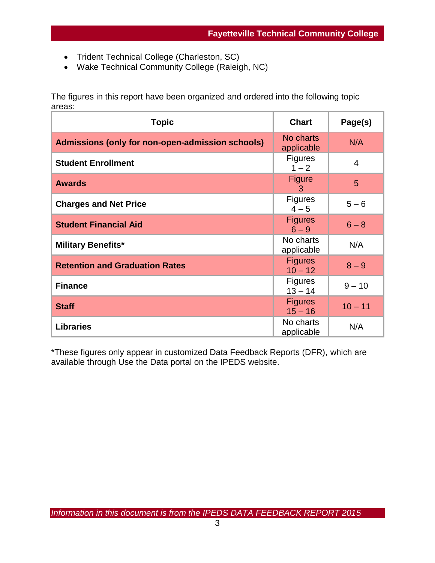- Trident Technical College (Charleston, SC)
- Wake Technical Community College (Raleigh, NC)

The figures in this report have been organized and ordered into the following topic areas:

| <b>Topic</b>                                     | <b>Chart</b>                | Page(s)   |
|--------------------------------------------------|-----------------------------|-----------|
| Admissions (only for non-open-admission schools) | No charts<br>applicable     | N/A       |
| <b>Student Enrollment</b>                        | <b>Figures</b><br>$1 - 2$   | 4         |
| <b>Awards</b>                                    | <b>Figure</b><br>3          | 5         |
| <b>Charges and Net Price</b>                     | <b>Figures</b><br>$4 - 5$   | $5 - 6$   |
| <b>Student Financial Aid</b>                     | <b>Figures</b><br>$6 - 9$   | $6 - 8$   |
| <b>Military Benefits*</b>                        | No charts<br>applicable     | N/A       |
| <b>Retention and Graduation Rates</b>            | <b>Figures</b><br>$10 - 12$ | $8 - 9$   |
| <b>Finance</b>                                   | <b>Figures</b><br>$13 - 14$ | $9 - 10$  |
| <b>Staff</b>                                     | <b>Figures</b><br>$15 - 16$ | $10 - 11$ |
| <b>Libraries</b>                                 | No charts<br>applicable     | N/A       |

\*These figures only appear in customized Data Feedback Reports (DFR), which are available through Use the Data portal on the IPEDS website.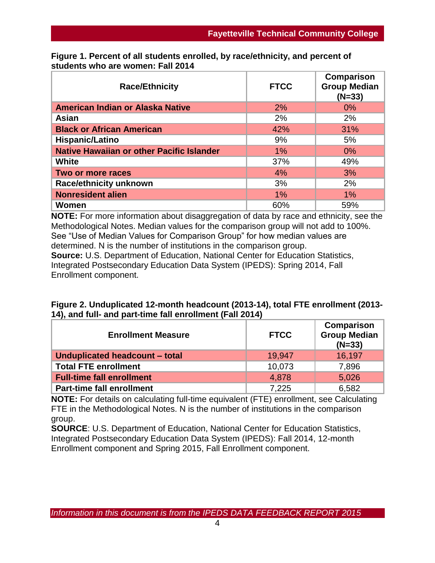| <b>Race/Ethnicity</b>                            | <b>FTCC</b> | Comparison<br><b>Group Median</b><br>$(N=33)$ |
|--------------------------------------------------|-------------|-----------------------------------------------|
| American Indian or Alaska Native                 | 2%          | $0\%$                                         |
| Asian                                            | 2%          | 2%                                            |
| <b>Black or African American</b>                 | 42%         | 31%                                           |
| Hispanic/Latino                                  | 9%          | 5%                                            |
| <b>Native Hawaiian or other Pacific Islander</b> | 1%          | $0\%$                                         |
| <b>White</b>                                     | 37%         | 49%                                           |
| Two or more races                                | 4%          | 3%                                            |
| <b>Race/ethnicity unknown</b>                    | 3%          | 2%                                            |
| <b>Nonresident alien</b>                         | 1%          | $1\%$                                         |
| Women                                            | 60%         | 59%                                           |

**Figure 1. Percent of all students enrolled, by race/ethnicity, and percent of students who are women: Fall 2014**

**NOTE:** For more information about disaggregation of data by race and ethnicity, see the Methodological Notes. Median values for the comparison group will not add to 100%. See "Use of Median Values for Comparison Group" for how median values are determined. N is the number of institutions in the comparison group. **Source:** U.S. Department of Education, National Center for Education Statistics, Integrated Postsecondary Education Data System (IPEDS): Spring 2014, Fall Enrollment component.

| Figure 2. Unduplicated 12-month headcount (2013-14), total FTE enrollment (2013- |  |
|----------------------------------------------------------------------------------|--|
| 14), and full- and part-time fall enrollment (Fall 2014)                         |  |

| <b>Enrollment Measure</b>        | <b>FTCC</b> | Comparison<br><b>Group Median</b><br>$(N=33)$ |
|----------------------------------|-------------|-----------------------------------------------|
| Unduplicated headcount - total   | 19.947      | 16,197                                        |
| <b>Total FTE enrollment</b>      | 10,073      | 7,896                                         |
| <b>Full-time fall enrollment</b> | 4.878       | 5,026                                         |
| <b>Part-time fall enrollment</b> | 7,225       | 6,582                                         |

**NOTE:** For details on calculating full-time equivalent (FTE) enrollment, see Calculating FTE in the Methodological Notes. N is the number of institutions in the comparison group.

**SOURCE**: U.S. Department of Education, National Center for Education Statistics, Integrated Postsecondary Education Data System (IPEDS): Fall 2014, 12-month Enrollment component and Spring 2015, Fall Enrollment component.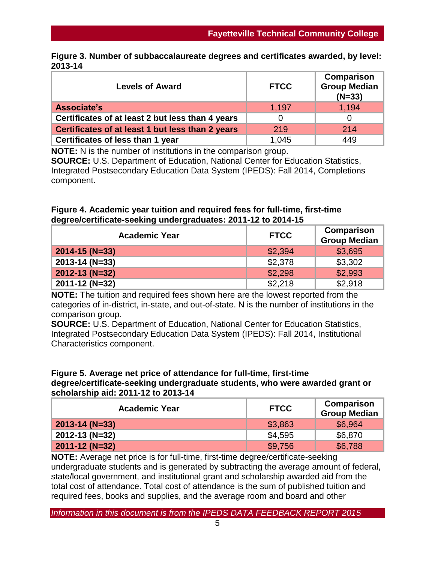|         | Figure 3. Number of subbaccalaureate degrees and certificates awarded, by level: |  |  |
|---------|----------------------------------------------------------------------------------|--|--|
| 2013-14 |                                                                                  |  |  |

| <b>Levels of Award</b>                           | <b>FTCC</b> | <b>Comparison</b><br><b>Group Median</b><br>$(N=33)$ |
|--------------------------------------------------|-------------|------------------------------------------------------|
| Associate's                                      | 1,197       | 1,194                                                |
| Certificates of at least 2 but less than 4 years |             |                                                      |
| Certificates of at least 1 but less than 2 years | 219         | 214                                                  |
| Certificates of less than 1 year                 | 1.045       | 449                                                  |

**NOTE:** N is the number of institutions in the comparison group. **SOURCE:** U.S. Department of Education, National Center for Education Statistics, Integrated Postsecondary Education Data System (IPEDS): Fall 2014, Completions component.

### **Figure 4. Academic year tuition and required fees for full-time, first-time degree/certificate-seeking undergraduates: 2011-12 to 2014-15**

| <b>Academic Year</b> | <b>FTCC</b> | Comparison<br><b>Group Median</b> |
|----------------------|-------------|-----------------------------------|
| $2014 - 15$ (N=33)   | \$2,394     | \$3,695                           |
| $2013 - 14 (N=33)$   | \$2,378     | \$3,302                           |
| $2012 - 13 (N=32)$   | \$2,298     | \$2,993                           |
| 2011-12 (N=32)       | \$2,218     | \$2,918                           |

**NOTE:** The tuition and required fees shown here are the lowest reported from the categories of in-district, in-state, and out-of-state. N is the number of institutions in the comparison group.

**SOURCE:** U.S. Department of Education, National Center for Education Statistics, Integrated Postsecondary Education Data System (IPEDS): Fall 2014, Institutional Characteristics component.

#### **Figure 5. Average net price of attendance for full-time, first-time degree/certificate-seeking undergraduate students, who were awarded grant or scholarship aid: 2011-12 to 2013-14**

| <b>Academic Year</b> | <b>FTCC</b> | Comparison<br><b>Group Median</b> |
|----------------------|-------------|-----------------------------------|
| $2013 - 14$ (N=33)   | \$3,863     | \$6,964                           |
| $2012 - 13$ (N=32)   | \$4,595     | \$6,870                           |
| $2011 - 12 (N=32)$   | \$9,756     | \$6,788                           |

**NOTE:** Average net price is for full-time, first-time degree/certificate-seeking undergraduate students and is generated by subtracting the average amount of federal, state/local government, and institutional grant and scholarship awarded aid from the total cost of attendance. Total cost of attendance is the sum of published tuition and required fees, books and supplies, and the average room and board and other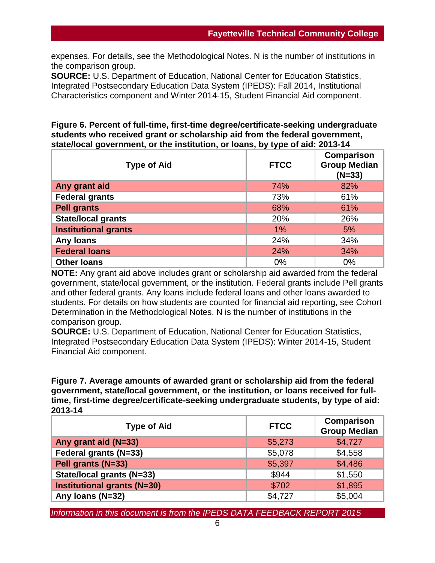expenses. For details, see the Methodological Notes. N is the number of institutions in the comparison group.

**SOURCE:** U.S. Department of Education, National Center for Education Statistics, Integrated Postsecondary Education Data System (IPEDS): Fall 2014, Institutional Characteristics component and Winter 2014-15, Student Financial Aid component.

#### **Figure 6. Percent of full-time, first-time degree/certificate-seeking undergraduate students who received grant or scholarship aid from the federal government, state/local government, or the institution, or loans, by type of aid: 2013-14**

| <b>Type of Aid</b>          | <b>FTCC</b> | Comparison<br><b>Group Median</b><br>$(N=33)$ |
|-----------------------------|-------------|-----------------------------------------------|
| Any grant aid               | 74%         | 82%                                           |
| <b>Federal grants</b>       | 73%         | 61%                                           |
| <b>Pell grants</b>          | 68%         | 61%                                           |
| <b>State/local grants</b>   | 20%         | 26%                                           |
| <b>Institutional grants</b> | $1\%$       | 5%                                            |
| Any loans                   | 24%         | 34%                                           |
| <b>Federal loans</b>        | 24%         | 34%                                           |
| <b>Other loans</b>          | 0%          | 0%                                            |

**NOTE:** Any grant aid above includes grant or scholarship aid awarded from the federal government, state/local government, or the institution. Federal grants include Pell grants and other federal grants. Any loans include federal loans and other loans awarded to students. For details on how students are counted for financial aid reporting, see Cohort Determination in the Methodological Notes. N is the number of institutions in the comparison group.

**SOURCE:** U.S. Department of Education, National Center for Education Statistics, Integrated Postsecondary Education Data System (IPEDS): Winter 2014-15, Student Financial Aid component.

**Figure 7. Average amounts of awarded grant or scholarship aid from the federal government, state/local government, or the institution, or loans received for fulltime, first-time degree/certificate-seeking undergraduate students, by type of aid: 2013-14**

| <b>Type of Aid</b>                 | <b>FTCC</b> | <b>Comparison</b><br><b>Group Median</b> |
|------------------------------------|-------------|------------------------------------------|
| Any grant aid (N=33)               | \$5,273     | \$4,727                                  |
| Federal grants (N=33)              | \$5,078     | \$4,558                                  |
| Pell grants (N=33)                 | \$5,397     | \$4,486                                  |
| State/local grants (N=33)          | \$944       | \$1,550                                  |
| <b>Institutional grants (N=30)</b> | \$702       | \$1,895                                  |
| Any Ioans (N=32)                   | \$4,727     | \$5,004                                  |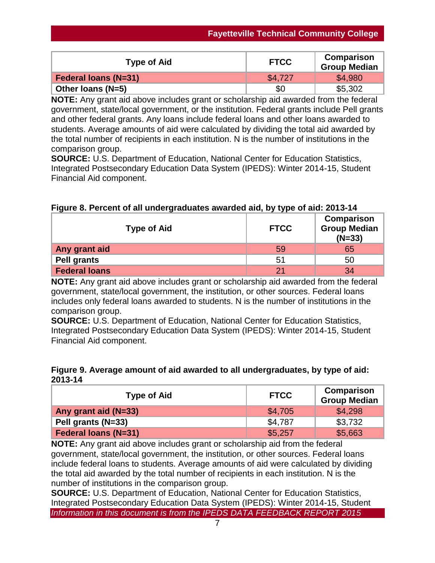| <b>Type of Aid</b>          | <b>FTCC</b> | <b>Comparison</b><br><b>Group Median</b> |
|-----------------------------|-------------|------------------------------------------|
| <b>Federal loans (N=31)</b> | \$4.727     | \$4,980                                  |
| Other Ioans ( $N=5$ )       | \$0         | \$5,302                                  |

**NOTE:** Any grant aid above includes grant or scholarship aid awarded from the federal government, state/local government, or the institution. Federal grants include Pell grants and other federal grants. Any loans include federal loans and other loans awarded to students. Average amounts of aid were calculated by dividing the total aid awarded by the total number of recipients in each institution. N is the number of institutions in the comparison group.

**SOURCE:** U.S. Department of Education, National Center for Education Statistics, Integrated Postsecondary Education Data System (IPEDS): Winter 2014-15, Student Financial Aid component.

| <b>Type of Aid</b>   | <b>FTCC</b> | Comparison<br><b>Group Median</b><br>$(N=33)$ |
|----------------------|-------------|-----------------------------------------------|
| Any grant aid        | 59          | 65                                            |
| <b>Pell grants</b>   | 51          | 50                                            |
| <b>Federal loans</b> | 21          | 34                                            |

**Figure 8. Percent of all undergraduates awarded aid, by type of aid: 2013-14**

**NOTE:** Any grant aid above includes grant or scholarship aid awarded from the federal government, state/local government, the institution, or other sources. Federal loans includes only federal loans awarded to students. N is the number of institutions in the comparison group.

**SOURCE:** U.S. Department of Education, National Center for Education Statistics, Integrated Postsecondary Education Data System (IPEDS): Winter 2014-15, Student Financial Aid component.

# **Figure 9. Average amount of aid awarded to all undergraduates, by type of aid: 2013-14**

| <b>Type of Aid</b>          | <b>FTCC</b> | Comparison<br><b>Group Median</b> |
|-----------------------------|-------------|-----------------------------------|
| Any grant aid (N=33)        | \$4.705     | \$4.298                           |
| Pell grants (N=33)          | \$4.787     | \$3,732                           |
| <b>Federal loans (N=31)</b> | \$5,257     | \$5,663                           |

**NOTE:** Any grant aid above includes grant or scholarship aid from the federal government, state/local government, the institution, or other sources. Federal loans include federal loans to students. Average amounts of aid were calculated by dividing the total aid awarded by the total number of recipients in each institution. N is the number of institutions in the comparison group.

*Information in this document is from the IPEDS DATA FEEDBACK REPORT 2015* **SOURCE:** U.S. Department of Education, National Center for Education Statistics, Integrated Postsecondary Education Data System (IPEDS): Winter 2014-15, Student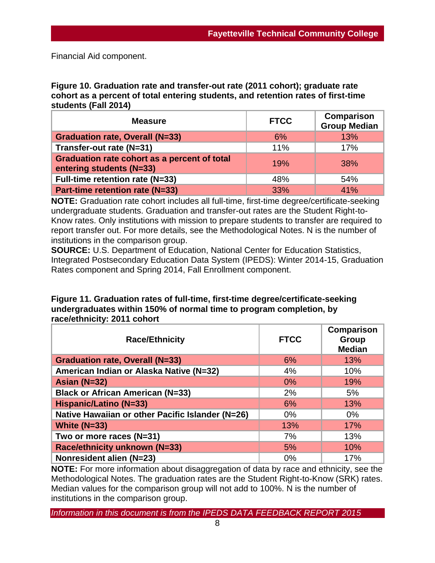Financial Aid component.

**Figure 10. Graduation rate and transfer-out rate (2011 cohort); graduate rate cohort as a percent of total entering students, and retention rates of first-time students (Fall 2014)**

| <b>Measure</b>                                                           | <b>FTCC</b> | <b>Comparison</b><br><b>Group Median</b> |
|--------------------------------------------------------------------------|-------------|------------------------------------------|
| <b>Graduation rate, Overall (N=33)</b>                                   | 6%          | 13%                                      |
| Transfer-out rate (N=31)                                                 | 11%         | 17%                                      |
| Graduation rate cohort as a percent of total<br>entering students (N=33) | 19%         | <b>38%</b>                               |
| Full-time retention rate (N=33)                                          | 48%         | 54%                                      |
| Part-time retention rate (N=33)                                          | <b>33%</b>  | 41%                                      |

**NOTE:** Graduation rate cohort includes all full-time, first-time degree/certificate-seeking undergraduate students. Graduation and transfer-out rates are the Student Right-to-Know rates. Only institutions with mission to prepare students to transfer are required to report transfer out. For more details, see the Methodological Notes. N is the number of institutions in the comparison group.

**SOURCE:** U.S. Department of Education, National Center for Education Statistics, Integrated Postsecondary Education Data System (IPEDS): Winter 2014-15, Graduation Rates component and Spring 2014, Fall Enrollment component.

| Figure 11. Graduation rates of full-time, first-time degree/certificate-seeking |
|---------------------------------------------------------------------------------|
| undergraduates within 150% of normal time to program completion, by             |
| race/ethnicity: 2011 cohort                                                     |
|                                                                                 |

| <b>Race/Ethnicity</b>                            | <b>FTCC</b> | <b>Comparison</b><br><b>Group</b><br><b>Median</b> |
|--------------------------------------------------|-------------|----------------------------------------------------|
| <b>Graduation rate, Overall (N=33)</b>           | 6%          | 13%                                                |
| American Indian or Alaska Native (N=32)          | 4%          | 10%                                                |
| Asian $(N=32)$                                   | $0\%$       | 19%                                                |
| <b>Black or African American (N=33)</b>          | 2%          | 5%                                                 |
| <b>Hispanic/Latino (N=33)</b>                    | 6%          | 13%                                                |
| Native Hawaiian or other Pacific Islander (N=26) | $0\%$       | $0\%$                                              |
| White $(N=33)$                                   | 13%         | 17%                                                |
| Two or more races (N=31)                         | 7%          | 13%                                                |
| Race/ethnicity unknown (N=33)                    | 5%          | 10%                                                |
| Nonresident alien (N=23)                         | 0%          | 17%                                                |

**NOTE:** For more information about disaggregation of data by race and ethnicity, see the Methodological Notes. The graduation rates are the Student Right-to-Know (SRK) rates. Median values for the comparison group will not add to 100%. N is the number of institutions in the comparison group.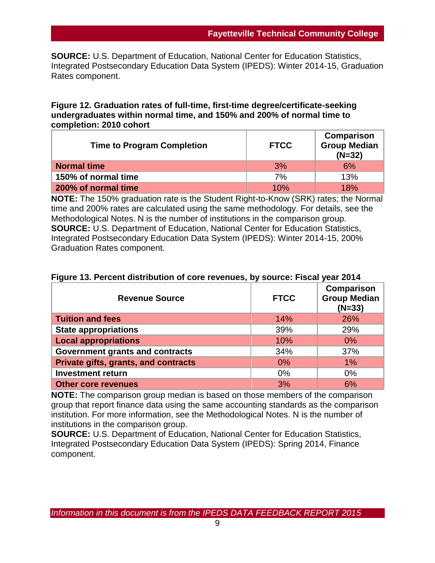**SOURCE:** U.S. Department of Education, National Center for Education Statistics, Integrated Postsecondary Education Data System (IPEDS): Winter 2014-15, Graduation Rates component.

#### **Figure 12. Graduation rates of full-time, first-time degree/certificate-seeking undergraduates within normal time, and 150% and 200% of normal time to completion: 2010 cohort**

| <b>Time to Program Completion</b> | <b>FTCC</b> | Comparison<br><b>Group Median</b><br>$(N=32)$ |
|-----------------------------------|-------------|-----------------------------------------------|
| <b>Normal time</b>                | 3%          | 6%                                            |
| 150% of normal time               | 7%          | 13%                                           |
| 200% of normal time               | 10%         | 18%                                           |

**NOTE:** The 150% graduation rate is the Student Right-to-Know (SRK) rates; the Normal time and 200% rates are calculated using the same methodology. For details, see the Methodological Notes. N is the number of institutions in the comparison group. **SOURCE:** U.S. Department of Education, National Center for Education Statistics, Integrated Postsecondary Education Data System (IPEDS): Winter 2014-15, 200% Graduation Rates component.

| <b>Revenue Source</b>                  | <b>FTCC</b> | Comparison<br><b>Group Median</b><br>$(N=33)$ |
|----------------------------------------|-------------|-----------------------------------------------|
| <b>Tuition and fees</b>                | 14%         | 26%                                           |
| <b>State appropriations</b>            | 39%         | 29%                                           |
| <b>Local appropriations</b>            | 10%         | $0\%$                                         |
| <b>Government grants and contracts</b> | 34%         | 37%                                           |
| Private gifts, grants, and contracts   | 0%          | $1\%$                                         |
| <b>Investment return</b>               | 0%          | $0\%$                                         |
| <b>Other core revenues</b>             | 3%          | 6%                                            |

# **Figure 13. Percent distribution of core revenues, by source: Fiscal year 2014**

**NOTE:** The comparison group median is based on those members of the comparison group that report finance data using the same accounting standards as the comparison institution. For more information, see the Methodological Notes. N is the number of institutions in the comparison group.

**SOURCE:** U.S. Department of Education, National Center for Education Statistics, Integrated Postsecondary Education Data System (IPEDS): Spring 2014, Finance component.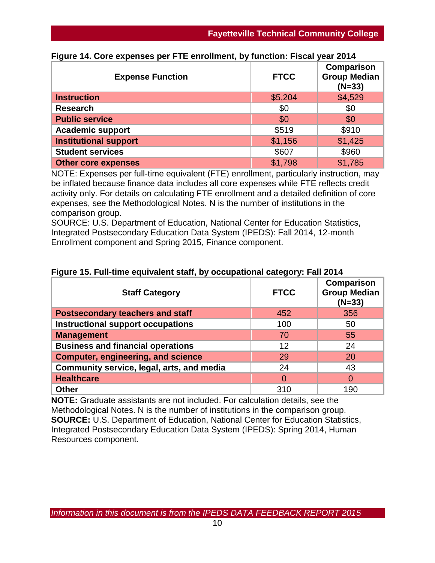| <b>Expense Function</b>      | <b>FTCC</b> | Comparison<br><b>Group Median</b><br>$(N=33)$ |
|------------------------------|-------------|-----------------------------------------------|
| <b>Instruction</b>           | \$5,204     | \$4,529                                       |
| <b>Research</b>              | \$0         | \$0                                           |
| <b>Public service</b>        | \$0         | \$0                                           |
| <b>Academic support</b>      | \$519       | \$910                                         |
| <b>Institutional support</b> | \$1,156     | \$1,425                                       |
| <b>Student services</b>      | \$607       | \$960                                         |
| <b>Other core expenses</b>   | \$1,798     | \$1,785                                       |

# **Figure 14. Core expenses per FTE enrollment, by function: Fiscal year 2014**

NOTE: Expenses per full-time equivalent (FTE) enrollment, particularly instruction, may be inflated because finance data includes all core expenses while FTE reflects credit activity only. For details on calculating FTE enrollment and a detailed definition of core expenses, see the Methodological Notes. N is the number of institutions in the comparison group.

SOURCE: U.S. Department of Education, National Center for Education Statistics, Integrated Postsecondary Education Data System (IPEDS): Fall 2014, 12-month Enrollment component and Spring 2015, Finance component.

| <b>Staff Category</b>                     | <b>FTCC</b> | Comparison<br><b>Group Median</b><br>$(N=33)$ |
|-------------------------------------------|-------------|-----------------------------------------------|
| <b>Postsecondary teachers and staff</b>   | 452         | 356                                           |
| <b>Instructional support occupations</b>  | 100         | 50                                            |
| <b>Management</b>                         | 70          | 55                                            |
| <b>Business and financial operations</b>  | 12          | 24                                            |
| <b>Computer, engineering, and science</b> | 29          | 20                                            |
| Community service, legal, arts, and media | 24          | 43                                            |
| <b>Healthcare</b>                         | 0           |                                               |
| <b>Other</b>                              | 310         | 190                                           |

# **Figure 15. Full-time equivalent staff, by occupational category: Fall 2014**

**NOTE:** Graduate assistants are not included. For calculation details, see the Methodological Notes. N is the number of institutions in the comparison group. **SOURCE:** U.S. Department of Education, National Center for Education Statistics, Integrated Postsecondary Education Data System (IPEDS): Spring 2014, Human Resources component.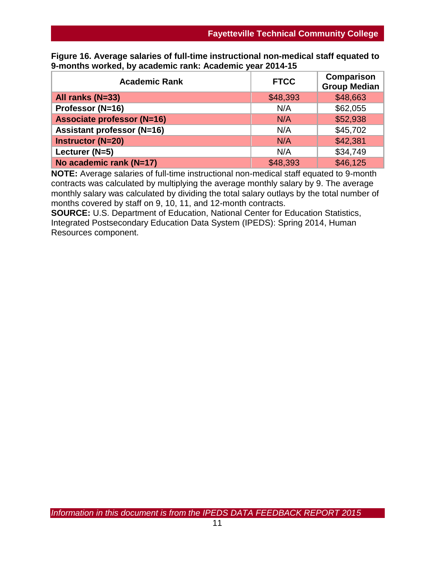| <b>Academic Rank</b>              | <b>FTCC</b> | <b>Comparison</b><br><b>Group Median</b> |
|-----------------------------------|-------------|------------------------------------------|
| All ranks (N=33)                  | \$48,393    | \$48,663                                 |
| Professor (N=16)                  | N/A         | \$62,055                                 |
| <b>Associate professor (N=16)</b> | N/A         | \$52,938                                 |
| <b>Assistant professor (N=16)</b> | N/A         | \$45,702                                 |
| <b>Instructor (N=20)</b>          | N/A         | \$42,381                                 |
| Lecturer (N=5)                    | N/A         | \$34,749                                 |
| No academic rank (N=17)           | \$48,393    | \$46,125                                 |

**Figure 16. Average salaries of full-time instructional non-medical staff equated to 9-months worked, by academic rank: Academic year 2014-15**

**NOTE:** Average salaries of full-time instructional non-medical staff equated to 9-month contracts was calculated by multiplying the average monthly salary by 9. The average monthly salary was calculated by dividing the total salary outlays by the total number of months covered by staff on 9, 10, 11, and 12-month contracts.

**SOURCE:** U.S. Department of Education, National Center for Education Statistics, Integrated Postsecondary Education Data System (IPEDS): Spring 2014, Human Resources component.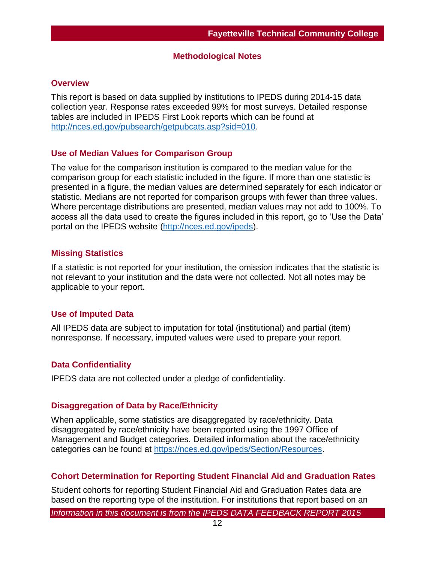#### **Methodological Notes**

#### **Overview**

This report is based on data supplied by institutions to IPEDS during 2014-15 data collection year. Response rates exceeded 99% for most surveys. Detailed response tables are included in IPEDS First Look reports which can be found at [http://nces.ed.gov/pubsearch/getpubcats.asp?sid=010.](http://nces.ed.gov/pubsearch/getpubcats.asp?sid=010%20)

#### **Use of Median Values for Comparison Group**

The value for the comparison institution is compared to the median value for the comparison group for each statistic included in the figure. If more than one statistic is presented in a figure, the median values are determined separately for each indicator or statistic. Medians are not reported for comparison groups with fewer than three values. Where percentage distributions are presented, median values may not add to 100%. To access all the data used to create the figures included in this report, go to 'Use the Data' portal on the IPEDS website [\(http://nces.ed.gov/ipeds\)](http://nces.ed.gov/ipeds).

#### **Missing Statistics**

If a statistic is not reported for your institution, the omission indicates that the statistic is not relevant to your institution and the data were not collected. Not all notes may be applicable to your report.

### **Use of Imputed Data**

All IPEDS data are subject to imputation for total (institutional) and partial (item) nonresponse. If necessary, imputed values were used to prepare your report.

### **Data Confidentiality**

IPEDS data are not collected under a pledge of confidentiality.

#### **Disaggregation of Data by Race/Ethnicity**

When applicable, some statistics are disaggregated by race/ethnicity. Data disaggregated by race/ethnicity have been reported using the 1997 Office of Management and Budget categories. Detailed information about the race/ethnicity categories can be found at [https://nces.ed.gov/ipeds/Section/Resources.](https://nces.ed.gov/ipeds/Section/Resources)

### **Cohort Determination for Reporting Student Financial Aid and Graduation Rates**

Student cohorts for reporting Student Financial Aid and Graduation Rates data are based on the reporting type of the institution. For institutions that report based on an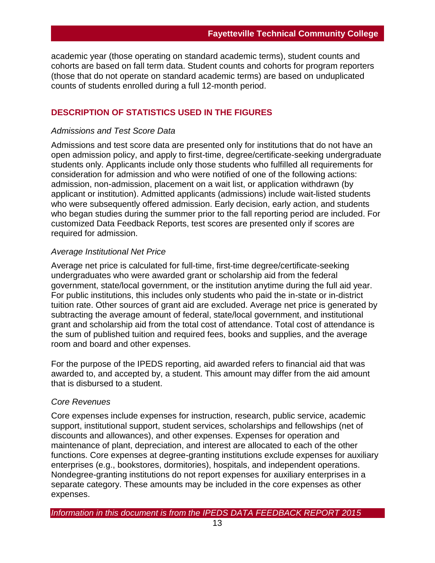academic year (those operating on standard academic terms), student counts and cohorts are based on fall term data. Student counts and cohorts for program reporters (those that do not operate on standard academic terms) are based on unduplicated counts of students enrolled during a full 12-month period.

#### **DESCRIPTION OF STATISTICS USED IN THE FIGURES**

#### *Admissions and Test Score Data*

Admissions and test score data are presented only for institutions that do not have an open admission policy, and apply to first-time, degree/certificate-seeking undergraduate students only. Applicants include only those students who fulfilled all requirements for consideration for admission and who were notified of one of the following actions: admission, non-admission, placement on a wait list, or application withdrawn (by applicant or institution). Admitted applicants (admissions) include wait-listed students who were subsequently offered admission. Early decision, early action, and students who began studies during the summer prior to the fall reporting period are included. For customized Data Feedback Reports, test scores are presented only if scores are required for admission.

#### *Average Institutional Net Price*

Average net price is calculated for full-time, first-time degree/certificate-seeking undergraduates who were awarded grant or scholarship aid from the federal government, state/local government, or the institution anytime during the full aid year. For public institutions, this includes only students who paid the in-state or in-district tuition rate. Other sources of grant aid are excluded. Average net price is generated by subtracting the average amount of federal, state/local government, and institutional grant and scholarship aid from the total cost of attendance. Total cost of attendance is the sum of published tuition and required fees, books and supplies, and the average room and board and other expenses.

For the purpose of the IPEDS reporting, aid awarded refers to financial aid that was awarded to, and accepted by, a student. This amount may differ from the aid amount that is disbursed to a student.

#### *Core Revenues*

Core expenses include expenses for instruction, research, public service, academic support, institutional support, student services, scholarships and fellowships (net of discounts and allowances), and other expenses. Expenses for operation and maintenance of plant, depreciation, and interest are allocated to each of the other functions. Core expenses at degree-granting institutions exclude expenses for auxiliary enterprises (e.g., bookstores, dormitories), hospitals, and independent operations. Nondegree-granting institutions do not report expenses for auxiliary enterprises in a separate category. These amounts may be included in the core expenses as other expenses.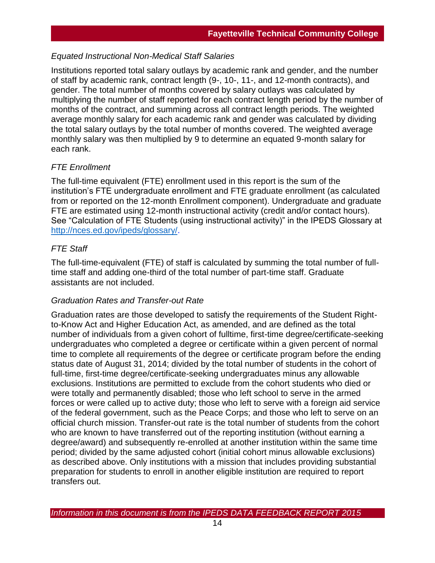### *Equated Instructional Non-Medical Staff Salaries*

Institutions reported total salary outlays by academic rank and gender, and the number of staff by academic rank, contract length (9-, 10-, 11-, and 12-month contracts), and gender. The total number of months covered by salary outlays was calculated by multiplying the number of staff reported for each contract length period by the number of months of the contract, and summing across all contract length periods. The weighted average monthly salary for each academic rank and gender was calculated by dividing the total salary outlays by the total number of months covered. The weighted average monthly salary was then multiplied by 9 to determine an equated 9-month salary for each rank.

# *FTE Enrollment*

The full-time equivalent (FTE) enrollment used in this report is the sum of the institution's FTE undergraduate enrollment and FTE graduate enrollment (as calculated from or reported on the 12-month Enrollment component). Undergraduate and graduate FTE are estimated using 12-month instructional activity (credit and/or contact hours). See "Calculation of FTE Students (using instructional activity)" in the IPEDS Glossary at [http://nces.ed.gov/ipeds/glossary/.](http://nces.ed.gov/ipeds/glossary/)

# *FTE Staff*

The full-time-equivalent (FTE) of staff is calculated by summing the total number of fulltime staff and adding one-third of the total number of part-time staff. Graduate assistants are not included.

### *Graduation Rates and Transfer-out Rate*

Graduation rates are those developed to satisfy the requirements of the Student Rightto-Know Act and Higher Education Act, as amended, and are defined as the total number of individuals from a given cohort of fulltime, first-time degree/certificate-seeking undergraduates who completed a degree or certificate within a given percent of normal time to complete all requirements of the degree or certificate program before the ending status date of August 31, 2014; divided by the total number of students in the cohort of full-time, first-time degree/certificate-seeking undergraduates minus any allowable exclusions. Institutions are permitted to exclude from the cohort students who died or were totally and permanently disabled; those who left school to serve in the armed forces or were called up to active duty; those who left to serve with a foreign aid service of the federal government, such as the Peace Corps; and those who left to serve on an official church mission. Transfer-out rate is the total number of students from the cohort who are known to have transferred out of the reporting institution (without earning a degree/award) and subsequently re-enrolled at another institution within the same time period; divided by the same adjusted cohort (initial cohort minus allowable exclusions) as described above. Only institutions with a mission that includes providing substantial preparation for students to enroll in another eligible institution are required to report transfers out.